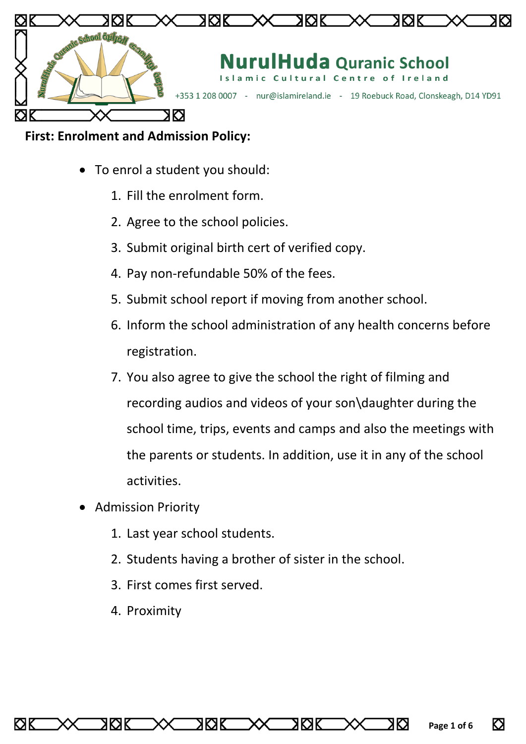

### **First: Enrolment and Admission Policy:**

- To enrol a student you should:
	- 1. Fill the enrolment form.
	- 2. Agree to the school policies.
	- 3. Submit original birth cert of verified copy.
	- 4. Pay non-refundable 50% of the fees.
	- 5. Submit school report if moving from another school.
	- 6. Inform the school administration of any health concerns before registration.
	- 7. You also agree to give the school the right of filming and recording audios and videos of your son\daughter during the school time, trips, events and camps and also the meetings with the parents or students. In addition, use it in any of the school activities.

8 K. R

- Admission Priority
	- 1. Last year school students.
	- 2. Students having a brother of sister in the school.
	- 3. First comes first served.

RRIK

4. Proximity

8 K. R

ΚЯΚ

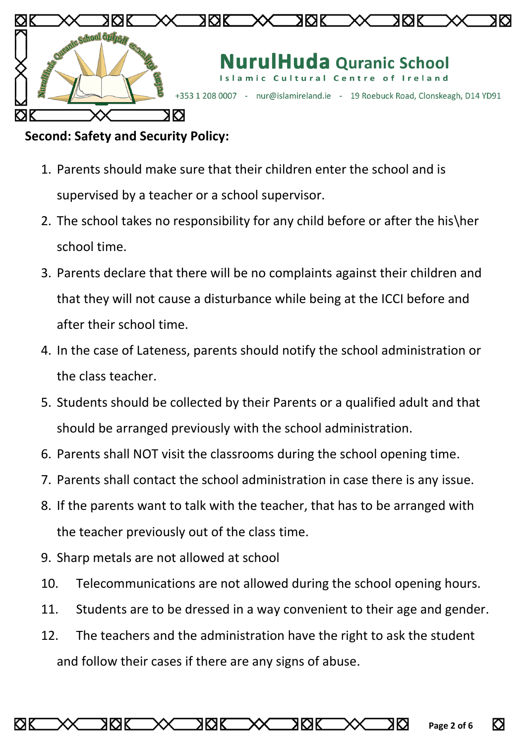

### **Second: Safety and Security Policy:**

- 1. Parents should make sure that their children enter the school and is supervised by a teacher or a school supervisor.
- 2. The school takes no responsibility for any child before or after the his\her school time.
- 3. Parents declare that there will be no complaints against their children and that they will not cause a disturbance while being at the ICCI before and after their school time.
- 4. In the case of Lateness, parents should notify the school administration or the class teacher.
- 5. Students should be collected by their Parents or a qualified adult and that should be arranged previously with the school administration.
- 6. Parents shall NOT visit the classrooms during the school opening time.
- 7. Parents shall contact the school administration in case there is any issue.
- 8. If the parents want to talk with the teacher, that has to be arranged with the teacher previously out of the class time.
- 9. Sharp metals are not allowed at school
- 10. Telecommunications are not allowed during the school opening hours.
- 11. Students are to be dressed in a way convenient to their age and gender.
- 12. The teachers and the administration have the right to ask the student and follow their cases if there are any signs of abuse.

RØK

ΚЯΚ

XKX

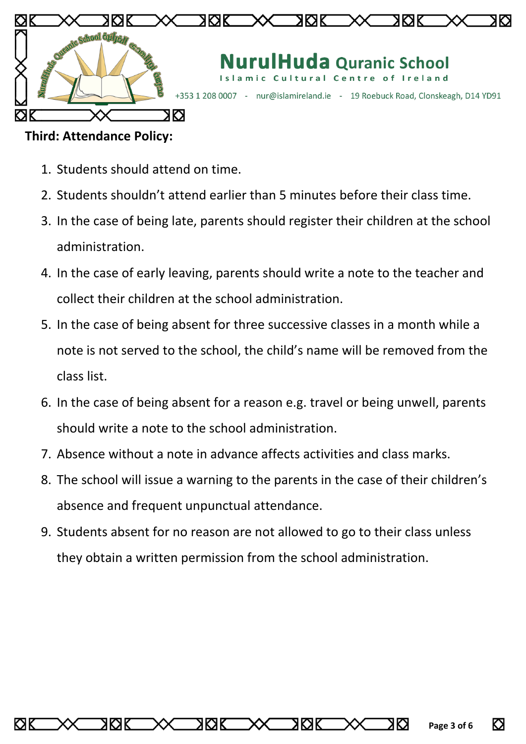

### **Third: Attendance Policy:**

- 1. Students should attend on time.
- 2. Students shouldn't attend earlier than 5 minutes before their class time.
- 3. In the case of being late, parents should register their children at the school administration.
- 4. In the case of early leaving, parents should write a note to the teacher and collect their children at the school administration.
- 5. In the case of being absent for three successive classes in a month while a note is not served to the school, the child's name will be removed from the class list.
- 6. In the case of being absent for a reason e.g. travel or being unwell, parents should write a note to the school administration.
- 7. Absence without a note in advance affects activities and class marks.
- 8. The school will issue a warning to the parents in the case of their children's absence and frequent unpunctual attendance.
- 9. Students absent for no reason are not allowed to go to their class unless they obtain a written permission from the school administration.

ΚЯΚ

RК

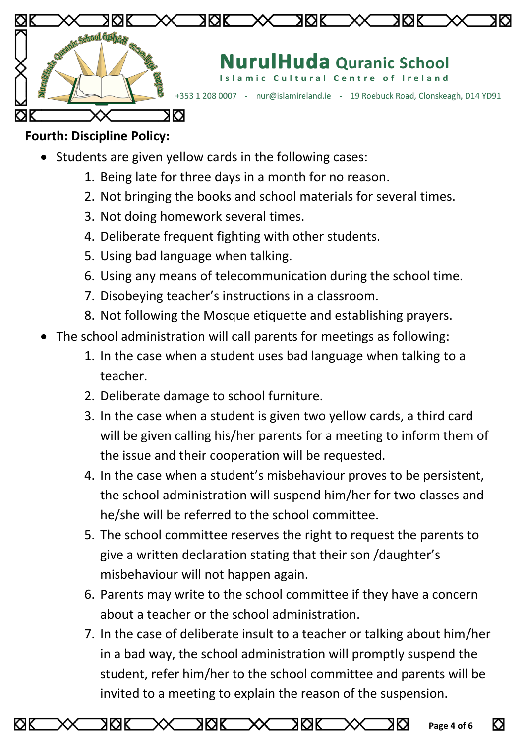

# **Fourth: Discipline Policy:**

- Students are given yellow cards in the following cases:
	- 1. Being late for three days in a month for no reason .
	- 2. Not bringing the books and school materials for several times.
	- 3. Not doing homework several times.
	- 4. Deliberate frequent fighting with other students.
	- 5. Using bad language when talking.
	- 6. Using any means of telecommunication during the school time.
	- 7. Disobeying teacher's instructions in a classroom.
	- 8. Not following the Mosque etiquette and establishing prayers.
- The school administration will call parents for meetings as following:
	- 1. In the case when a student uses bad language when talking to a teacher.
	- 2. Deliberate damage to school furniture.
	- 3. In the case when a student is given two yellow cards, a third card will be given calling his/her parents for a meeting to inform them of the issue and their cooperation will be requested.
	- 4. In the case when a student's misbehaviour proves to be persistent, the school administration will suspend him/her for two classes and he/she will be referred to the school committee.
	- 5. The school committee reserves the right to request the parents to give a written declaration stating that their son /daughter's misbehaviour will not happen again.
	- 6. Parents may write to the school committee if they have a concern about a teacher or the school administration.
	- 7. In the case of deliberate insult to a teacher or talking about him/her in a bad way, the school administration will promptly suspend the student, refer him/her to the school committee and parents will be invited to a meeting to explain the reason of the suspension.

XKX

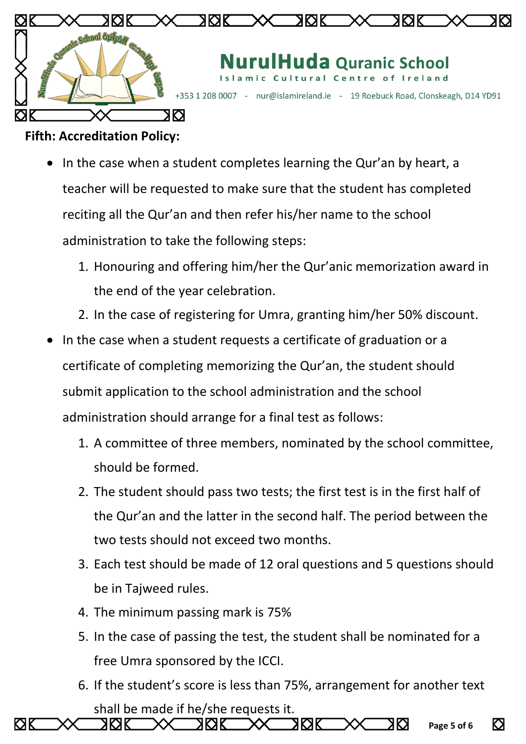

## **Fifth: Accreditation Policy:**

- In the case when a student completes learning the Qur'an by heart, a teacher will be requested to make sure that the student has completed reciting all the Qur'an and then refer his/her name to the school administration to take the following steps:
	- 1. Honouring and offering him/her the Qur'anic memorization award in the end of the year celebration.
	- 2. In the case of registering for Umra, granting him/her 50% discount.
- In the case when a student requests a certificate of graduation or a certificate of completing memorizing the Qur'an, the student should submit application to the school administration and the school administration should arrange for a final test as follows:
	- 1. A committee of three members, nominated by the school committee, should be formed.
	- 2. The student should pass two tests; the first test is in the first half of the Qur'an and the latter in the second half. The period between the two tests should not exceed two months.
	- 3. Each test should be made of 12 oral questions and 5 questions should be in Tajweed rules.
	- 4. The minimum passing mark is 75%

**XKXK** 

ЮK

XKXK

- 5. In the case of passing the test, the student shall be nominated for a free Umra sponsored by the ICCI.
- 6. If the student's score is less than 75%, arrangement for another text shall be made if he/she requests it.

ЖXК